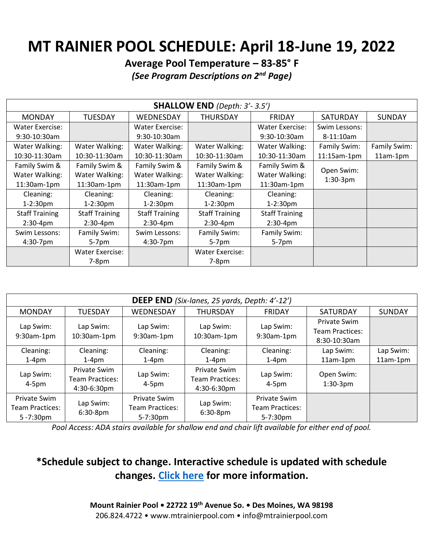## **MT RAINIER POOL SCHEDULE: April 18-June 19, 2022**

**Average Pool Temperature – 83-85° F** *(See Program Descriptions on 2nd Page)*

| <b>SHALLOW END</b> (Depth: 3'- 3.5') |                        |                        |                       |                        |                           |               |  |  |
|--------------------------------------|------------------------|------------------------|-----------------------|------------------------|---------------------------|---------------|--|--|
| <b>MONDAY</b>                        | <b>TUESDAY</b>         | WEDNESDAY              | <b>THURSDAY</b>       | <b>FRIDAY</b>          | <b>SATURDAY</b>           | <b>SUNDAY</b> |  |  |
| <b>Water Exercise:</b>               |                        | <b>Water Exercise:</b> |                       | <b>Water Exercise:</b> | Swim Lessons:             |               |  |  |
| 9:30-10:30am                         |                        | 9:30-10:30am           |                       | 9:30-10:30am           | $8 - 11:10$ am            |               |  |  |
| Water Walking:                       | Water Walking:         | Water Walking:         | Water Walking:        | Water Walking:         | Family Swim:              | Family Swim:  |  |  |
| 10:30-11:30am                        | 10:30-11:30am          | 10:30-11:30am          | 10:30-11:30am         | 10:30-11:30am          | $11:15am-1pm$             | $11am-1pm$    |  |  |
| Family Swim &                        | Family Swim &          | Family Swim &          | Family Swim &         | Family Swim &          |                           |               |  |  |
| Water Walking:                       | Water Walking:         | Water Walking:         | Water Walking:        | Water Walking:         | Open Swim:<br>$1:30-3$ pm |               |  |  |
| 11:30am-1pm                          | 11:30am-1pm            | 11:30am-1pm            | 11:30am-1pm           | 11:30am-1pm            |                           |               |  |  |
| Cleaning:                            | Cleaning:              | Cleaning:              | Cleaning:             | Cleaning:              |                           |               |  |  |
| $1-2:30pm$                           | $1-2:30pm$             | $1-2:30pm$             | $1-2:30pm$            | $1-2:30pm$             |                           |               |  |  |
| <b>Staff Training</b>                | <b>Staff Training</b>  | <b>Staff Training</b>  | <b>Staff Training</b> | <b>Staff Training</b>  |                           |               |  |  |
| $2:30-4pm$                           | $2:30-4pm$             | $2:30-4pm$             | $2:30-4pm$            | $2:30-4pm$             |                           |               |  |  |
| Swim Lessons:                        | Family Swim:           | Swim Lessons:          | Family Swim:          | Family Swim:           |                           |               |  |  |
| 4:30-7pm                             | 5-7pm                  | 4:30-7pm               | $5-7$ pm              | 5-7pm                  |                           |               |  |  |
|                                      | <b>Water Exercise:</b> |                        | Water Exercise:       |                        |                           |               |  |  |
|                                      | $7-8pm$                |                        | $7-8pm$               |                        |                           |               |  |  |

| <b>DEEP END</b> (Six-lanes, 25 yards, Depth: 4'-12') |                                                         |                                             |                                                |                                                        |                                                               |                       |  |  |
|------------------------------------------------------|---------------------------------------------------------|---------------------------------------------|------------------------------------------------|--------------------------------------------------------|---------------------------------------------------------------|-----------------------|--|--|
| <b>MONDAY</b>                                        | <b>TUESDAY</b>                                          | <b>WEDNESDAY</b>                            | <b>THURSDAY</b>                                | <b>FRIDAY</b>                                          | <b>SATURDAY</b>                                               | <b>SUNDAY</b>         |  |  |
| Lap Swim:<br>$9:30$ am-1pm                           | Lap Swim:<br>10:30am-1pm                                | Lap Swim:<br>$9:30$ am-1pm                  | Lap Swim:<br>$10:30$ am-1 $pm$                 | Lap Swim:<br>9:30am-1pm                                | <b>Private Swim</b><br><b>Team Practices:</b><br>8:30-10:30am |                       |  |  |
| Cleaning:<br>$1-4pm$                                 | Cleaning:<br>$1-4pm$                                    | Cleaning:<br>$1-4pm$                        | Cleaning:<br>$1-4pm$                           | Cleaning:<br>$1-4pm$                                   | Lap Swim:<br>$11am-1pm$                                       | Lap Swim:<br>11am-1pm |  |  |
| Lap Swim:<br>$4-5pm$                                 | Private Swim<br><b>Team Practices:</b><br>$4:30-6:30pm$ | Lap Swim:<br>$4-5pm$                        | Private Swim<br>Team Practices:<br>4:30-6:30pm | Lap Swim:<br>$4-5pm$                                   | Open Swim:<br>$1:30-3$ pm                                     |                       |  |  |
| Private Swim<br>Team Practices:<br>$5 - 7:30pm$      | Lap Swim:<br>$6:30-8$ pm                                | Private Swim<br>Team Practices:<br>5-7:30pm | Lap Swim:<br>$6:30-8$ pm                       | Private Swim<br><b>Team Practices:</b><br>$5 - 7:30pm$ |                                                               |                       |  |  |

*Pool Access: ADA stairs available for shallow end and chair lift available for either end of pool.*

## **\*Schedule subject to change. Interactive schedule is updated with schedule changes. [Click here](https://mtrainierpool.com/schedule-2/) for more information.**

**Mount Rainier Pool • 22722 19th Avenue So. • Des Moines, WA 98198** 206.824.4722 • www.mtrainierpool.com • info@mtrainierpool.com